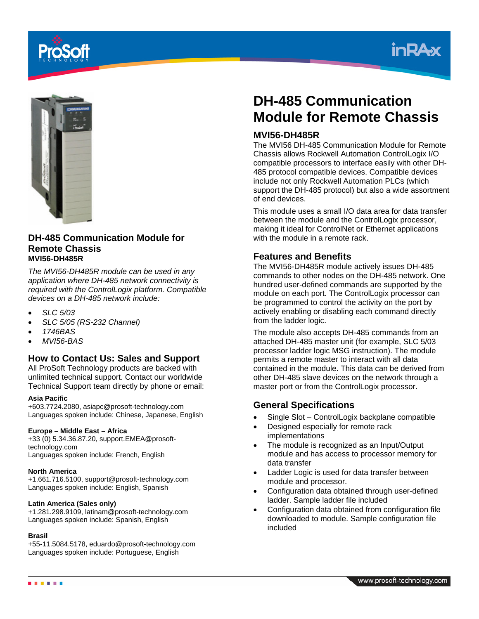





#### **DH-485 Communication Module for Remote Chassis MVI56-DH485R**

*The MVI56-DH485R module can be used in any application where DH-485 network connectivity is required with the ControlLogix platform. Compatible devices on a DH-485 network include:* 

- *SLC 5/03*
- *SLC 5/05 (RS-232 Channel)*
- *1746BAS*
- *MVI56-BAS*

## **How to Contact Us: Sales and Support**

All ProSoft Technology products are backed with unlimited technical support. Contact our worldwide Technical Support team directly by phone or email:

#### **Asia Pacific**

+603.7724.2080, asiapc@prosoft-technology.com Languages spoken include: Chinese, Japanese, English

#### **Europe – Middle East – Africa**

+33 (0) 5.34.36.87.20, support.EMEA@prosofttechnology.com Languages spoken include: French, English

#### **North America**

+1.661.716.5100, support@prosoft-technology.com Languages spoken include: English, Spanish

#### **Latin America (Sales only)**

+1.281.298.9109, latinam@prosoft-technology.com Languages spoken include: Spanish, English

#### **Brasil**

+55-11.5084.5178, eduardo@prosoft-technology.com Languages spoken include: Portuguese, English

# **DH-485 Communication Module for Remote Chassis**

## **MVI56-DH485R**

The MVI56 DH-485 Communication Module for Remote Chassis allows Rockwell Automation ControlLogix I/O compatible processors to interface easily with other DH-485 protocol compatible devices. Compatible devices include not only Rockwell Automation PLCs (which support the DH-485 protocol) but also a wide assortment of end devices.

This module uses a small I/O data area for data transfer between the module and the ControlLogix processor, making it ideal for ControlNet or Ethernet applications with the module in a remote rack.

## **Features and Benefits**

The MVI56-DH485R module actively issues DH-485 commands to other nodes on the DH-485 network. One hundred user-defined commands are supported by the module on each port. The ControlLogix processor can be programmed to control the activity on the port by actively enabling or disabling each command directly from the ladder logic.

The module also accepts DH-485 commands from an attached DH-485 master unit (for example, SLC 5/03 processor ladder logic MSG instruction). The module permits a remote master to interact with all data contained in the module. This data can be derived from other DH-485 slave devices on the network through a master port or from the ControlLogix processor.

# **General Specifications**

- Single Slot ControlLogix backplane compatible
- Designed especially for remote rack implementations
- The module is recognized as an Input/Output module and has access to processor memory for data transfer
- Ladder Logic is used for data transfer between module and processor.
- Configuration data obtained through user-defined ladder. Sample ladder file included
- Configuration data obtained from configuration file downloaded to module. Sample configuration file included